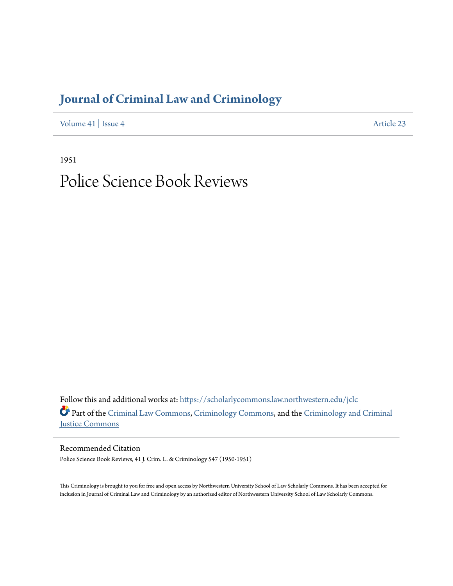## **[Journal of Criminal Law and Criminology](https://scholarlycommons.law.northwestern.edu/jclc?utm_source=scholarlycommons.law.northwestern.edu%2Fjclc%2Fvol41%2Fiss4%2F23&utm_medium=PDF&utm_campaign=PDFCoverPages)**

[Volume 41](https://scholarlycommons.law.northwestern.edu/jclc/vol41?utm_source=scholarlycommons.law.northwestern.edu%2Fjclc%2Fvol41%2Fiss4%2F23&utm_medium=PDF&utm_campaign=PDFCoverPages) | [Issue 4](https://scholarlycommons.law.northwestern.edu/jclc/vol41/iss4?utm_source=scholarlycommons.law.northwestern.edu%2Fjclc%2Fvol41%2Fiss4%2F23&utm_medium=PDF&utm_campaign=PDFCoverPages) [Article 23](https://scholarlycommons.law.northwestern.edu/jclc/vol41/iss4/23?utm_source=scholarlycommons.law.northwestern.edu%2Fjclc%2Fvol41%2Fiss4%2F23&utm_medium=PDF&utm_campaign=PDFCoverPages)

1951

# Police Science Book Reviews

Follow this and additional works at: [https://scholarlycommons.law.northwestern.edu/jclc](https://scholarlycommons.law.northwestern.edu/jclc?utm_source=scholarlycommons.law.northwestern.edu%2Fjclc%2Fvol41%2Fiss4%2F23&utm_medium=PDF&utm_campaign=PDFCoverPages) Part of the [Criminal Law Commons](http://network.bepress.com/hgg/discipline/912?utm_source=scholarlycommons.law.northwestern.edu%2Fjclc%2Fvol41%2Fiss4%2F23&utm_medium=PDF&utm_campaign=PDFCoverPages), [Criminology Commons](http://network.bepress.com/hgg/discipline/417?utm_source=scholarlycommons.law.northwestern.edu%2Fjclc%2Fvol41%2Fiss4%2F23&utm_medium=PDF&utm_campaign=PDFCoverPages), and the [Criminology and Criminal](http://network.bepress.com/hgg/discipline/367?utm_source=scholarlycommons.law.northwestern.edu%2Fjclc%2Fvol41%2Fiss4%2F23&utm_medium=PDF&utm_campaign=PDFCoverPages) [Justice Commons](http://network.bepress.com/hgg/discipline/367?utm_source=scholarlycommons.law.northwestern.edu%2Fjclc%2Fvol41%2Fiss4%2F23&utm_medium=PDF&utm_campaign=PDFCoverPages)

Recommended Citation Police Science Book Reviews, 41 J. Crim. L. & Criminology 547 (1950-1951)

This Criminology is brought to you for free and open access by Northwestern University School of Law Scholarly Commons. It has been accepted for inclusion in Journal of Criminal Law and Criminology by an authorized editor of Northwestern University School of Law Scholarly Commons.